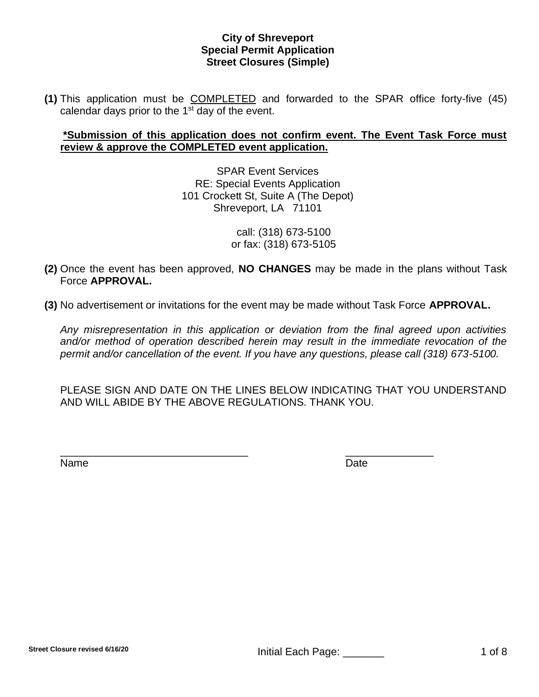**(1)** This application must be COMPLETED and forwarded to the SPAR office forty-five (45) calendar days prior to the  $1<sup>st</sup>$  day of the event.

# **\*Submission of this application does not confirm event. The Event Task Force must review & approve the COMPLETED event application.**

SPAR Event Services RE: Special Events Application 101 Crockett St, Suite A (The Depot) Shreveport, LA 71101

> call: (318) 673-5100 or fax: (318) 673-5105

- **(2)** Once the event has been approved, **NO CHANGES** may be made in the plans without Task Force **APPROVAL.**
- **(3)** No advertisement or invitations for the event may be made without Task Force **APPROVAL.**

*Any misrepresentation in this application or deviation from the final agreed upon activities and/or method of operation described herein may result in the immediate revocation of the permit and/or cancellation of the event. If you have any questions, please call (318) 673-5100.*

PLEASE SIGN AND DATE ON THE LINES BELOW INDICATING THAT YOU UNDERSTAND AND WILL ABIDE BY THE ABOVE REGULATIONS. THANK YOU.

\_\_\_\_\_\_\_\_\_\_\_\_\_\_\_\_\_\_\_\_\_\_\_\_\_\_\_\_\_\_\_\_ \_\_\_\_\_\_\_\_\_\_\_\_\_\_\_

Name Date **Date**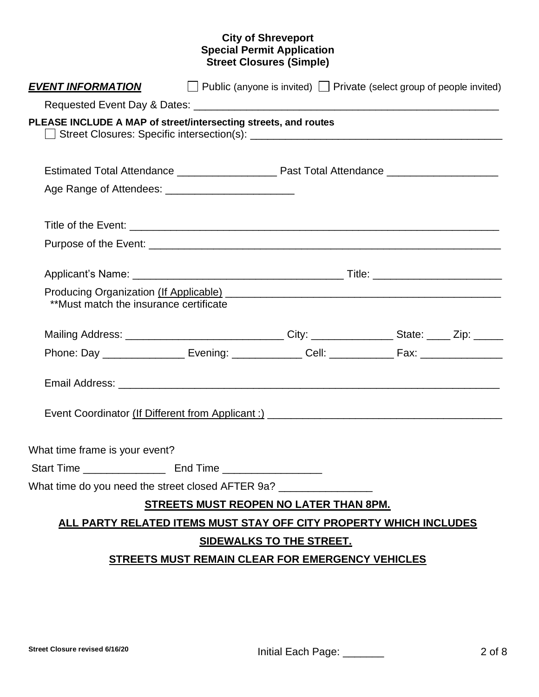| <b>EVENT INFORMATION</b>                                                                                                                                                                                                                                                 |  | $\Box$ Public (anyone is invited) $\Box$ Private (select group of people invited) |  |  |
|--------------------------------------------------------------------------------------------------------------------------------------------------------------------------------------------------------------------------------------------------------------------------|--|-----------------------------------------------------------------------------------|--|--|
|                                                                                                                                                                                                                                                                          |  |                                                                                   |  |  |
| PLEASE INCLUDE A MAP of street/intersecting streets, and routes                                                                                                                                                                                                          |  |                                                                                   |  |  |
|                                                                                                                                                                                                                                                                          |  |                                                                                   |  |  |
|                                                                                                                                                                                                                                                                          |  |                                                                                   |  |  |
|                                                                                                                                                                                                                                                                          |  |                                                                                   |  |  |
|                                                                                                                                                                                                                                                                          |  |                                                                                   |  |  |
|                                                                                                                                                                                                                                                                          |  |                                                                                   |  |  |
| Producing Organization (If Applicable) Manual Application and Application Contract Contract Application Contract Contract Contract Contract Contract Contract Contract Contract Contract Contract Contract Contract Contract C<br>**Must match the insurance certificate |  |                                                                                   |  |  |
| Mailing Address: __________________________________City: _________________State: _____ Zip: _______                                                                                                                                                                      |  |                                                                                   |  |  |
| Phone: Day _________________ Evening: ______________ Cell: _____________ Fax: _____________________                                                                                                                                                                      |  |                                                                                   |  |  |
|                                                                                                                                                                                                                                                                          |  |                                                                                   |  |  |
| Event Coordinator (If Different from Applicant :) _______________________________                                                                                                                                                                                        |  |                                                                                   |  |  |
| What time frame is your event?                                                                                                                                                                                                                                           |  |                                                                                   |  |  |
|                                                                                                                                                                                                                                                                          |  |                                                                                   |  |  |
| What time do you need the street closed AFTER 9a? ______________________________                                                                                                                                                                                         |  |                                                                                   |  |  |
|                                                                                                                                                                                                                                                                          |  | <b>STREETS MUST REOPEN NO LATER THAN 8PM.</b>                                     |  |  |
| ALL PARTY RELATED ITEMS MUST STAY OFF CITY PROPERTY WHICH INCLUDES                                                                                                                                                                                                       |  |                                                                                   |  |  |
| <b>SIDEWALKS TO THE STREET.</b>                                                                                                                                                                                                                                          |  |                                                                                   |  |  |
| STREETS MUST REMAIN CLEAR FOR EMERGENCY VEHICLES                                                                                                                                                                                                                         |  |                                                                                   |  |  |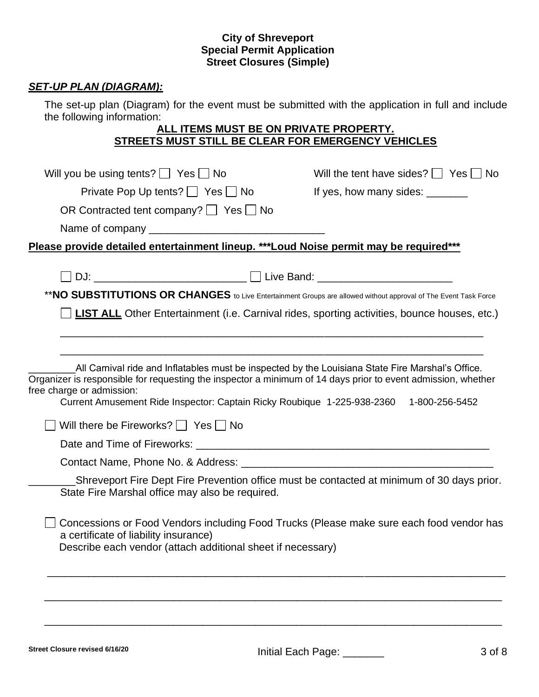# *SET-UP PLAN (DIAGRAM):*

The set-up plan (Diagram) for the event must be submitted with the application in full and include the following information:

# **ALL ITEMS MUST BE ON PRIVATE PROPERTY. STREETS MUST STILL BE CLEAR FOR EMERGENCY VEHICLES**

| Will you be using tents? $\Box$ Yes $\Box$ No                                                                                                                                                                                                                                                                                            | Will the tent have sides? $\Box$ Yes $\Box$ No                                             |
|------------------------------------------------------------------------------------------------------------------------------------------------------------------------------------------------------------------------------------------------------------------------------------------------------------------------------------------|--------------------------------------------------------------------------------------------|
| Private Pop Up tents? $\Box$ Yes $\Box$ No                                                                                                                                                                                                                                                                                               | If yes, how many sides: _______                                                            |
| OR Contracted tent company? $\Box$ Yes $\Box$ No                                                                                                                                                                                                                                                                                         |                                                                                            |
|                                                                                                                                                                                                                                                                                                                                          |                                                                                            |
| Please provide detailed entertainment lineup. *** Loud Noise permit may be required***                                                                                                                                                                                                                                                   |                                                                                            |
|                                                                                                                                                                                                                                                                                                                                          |                                                                                            |
| DJ: __________________________________ ___ __ Live Band: _______________________                                                                                                                                                                                                                                                         |                                                                                            |
| ** NO SUBSTITUTIONS OR CHANGES to Live Entertainment Groups are allowed without approval of The Event Task Force                                                                                                                                                                                                                         |                                                                                            |
| <b>LIST ALL</b> Other Entertainment (i.e. Carnival rides, sporting activities, bounce houses, etc.)                                                                                                                                                                                                                                      |                                                                                            |
|                                                                                                                                                                                                                                                                                                                                          |                                                                                            |
|                                                                                                                                                                                                                                                                                                                                          |                                                                                            |
| All Carnival ride and Inflatables must be inspected by the Louisiana State Fire Marshal's Office.<br>Organizer is responsible for requesting the inspector a minimum of 14 days prior to event admission, whether<br>free charge or admission:<br>Current Amusement Ride Inspector: Captain Ricky Roubique 1-225-938-2360 1-800-256-5452 |                                                                                            |
| Will there be Fireworks? $\Box$ Yes $\Box$ No                                                                                                                                                                                                                                                                                            |                                                                                            |
|                                                                                                                                                                                                                                                                                                                                          |                                                                                            |
| Contact Name, Phone No. & Address: Canadian Contract Name Contact Name Contract Name Contract Only 1                                                                                                                                                                                                                                     |                                                                                            |
| State Fire Marshal office may also be required.                                                                                                                                                                                                                                                                                          | Shreveport Fire Dept Fire Prevention office must be contacted at minimum of 30 days prior. |
| Concessions or Food Vendors including Food Trucks (Please make sure each food vendor has<br>a certificate of liability insurance)<br>Describe each vendor (attach additional sheet if necessary)                                                                                                                                         |                                                                                            |
|                                                                                                                                                                                                                                                                                                                                          |                                                                                            |
|                                                                                                                                                                                                                                                                                                                                          |                                                                                            |
|                                                                                                                                                                                                                                                                                                                                          |                                                                                            |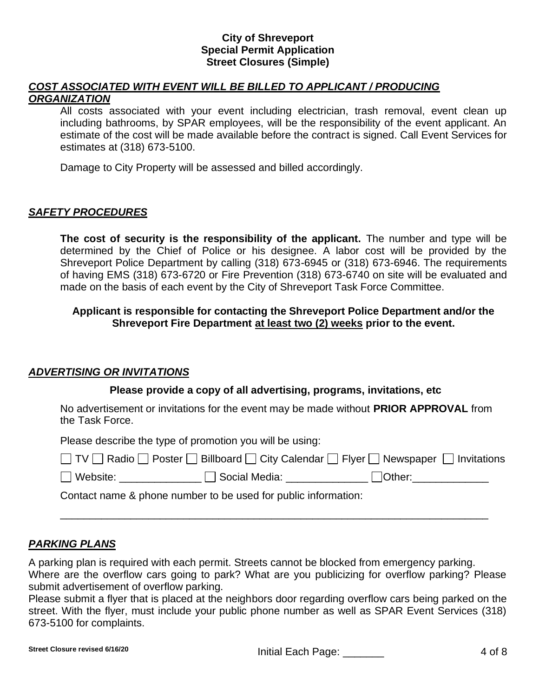## *COST ASSOCIATED WITH EVENT WILL BE BILLED TO APPLICANT / PRODUCING ORGANIZATION*

All costs associated with your event including electrician, trash removal, event clean up including bathrooms, by SPAR employees, will be the responsibility of the event applicant. An estimate of the cost will be made available before the contract is signed. Call Event Services for estimates at (318) 673-5100.

Damage to City Property will be assessed and billed accordingly.

# *SAFETY PROCEDURES*

**The cost of security is the responsibility of the applicant.** The number and type will be determined by the Chief of Police or his designee. A labor cost will be provided by the Shreveport Police Department by calling (318) 673-6945 or (318) 673-6946. The requirements of having EMS (318) 673-6720 or Fire Prevention (318) 673-6740 on site will be evaluated and made on the basis of each event by the City of Shreveport Task Force Committee.

# **Applicant is responsible for contacting the Shreveport Police Department and/or the Shreveport Fire Department at least two (2) weeks prior to the event.**

# *ADVERTISING OR INVITATIONS*

## **Please provide a copy of all advertising, programs, invitations, etc**

No advertisement or invitations for the event may be made without **PRIOR APPROVAL** from the Task Force.

Please describe the type of promotion you will be using:

|                 | □ TV □ Radio □ Poster □ Billboard □ City Calendar □ Flyer □ Newspaper □ Invitations |                    |  |
|-----------------|-------------------------------------------------------------------------------------|--------------------|--|
| $\Box$ $Mshain$ | $\Box$ Cooled Modio                                                                 | $\bigcap_{\alpha}$ |  |

Website: \_\_\_\_\_\_\_\_\_\_\_\_\_\_ Social Media: \_\_\_\_\_\_\_\_\_\_\_\_\_\_ Other:\_\_\_\_\_\_\_\_\_\_\_\_\_

Contact name & phone number to be used for public information:

# *PARKING PLANS*

A parking plan is required with each permit. Streets cannot be blocked from emergency parking. Where are the overflow cars going to park? What are you publicizing for overflow parking? Please submit advertisement of overflow parking.

\_\_\_\_\_\_\_\_\_\_\_\_\_\_\_\_\_\_\_\_\_\_\_\_\_\_\_\_\_\_\_\_\_\_\_\_\_\_\_\_\_\_\_\_\_\_\_\_\_\_\_\_\_\_\_\_\_\_\_\_\_\_\_\_\_\_\_\_\_\_\_\_\_

Please submit a flyer that is placed at the neighbors door regarding overflow cars being parked on the street. With the flyer, must include your public phone number as well as SPAR Event Services (318) 673-5100 for complaints.

Street Closure revised 6/16/20 **Initial Each Page:** \_\_\_\_\_\_\_\_\_\_\_\_ 4 of 8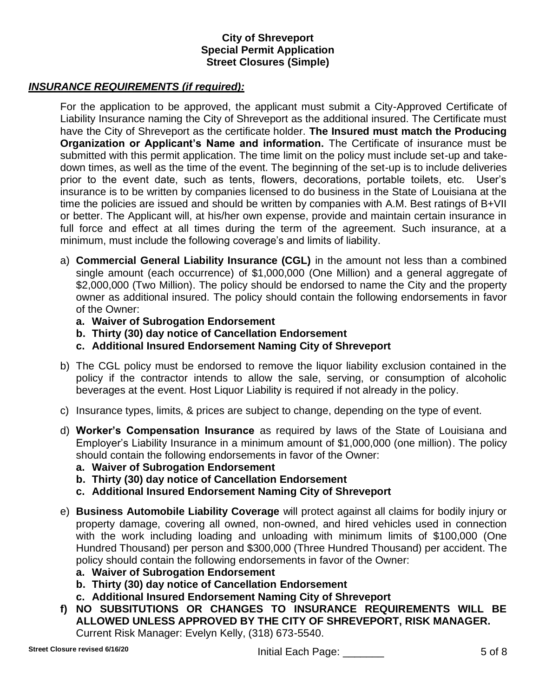## *INSURANCE REQUIREMENTS (if required):*

For the application to be approved, the applicant must submit a City-Approved Certificate of Liability Insurance naming the City of Shreveport as the additional insured. The Certificate must have the City of Shreveport as the certificate holder. **The Insured must match the Producing Organization or Applicant's Name and information.** The Certificate of insurance must be submitted with this permit application. The time limit on the policy must include set-up and takedown times, as well as the time of the event. The beginning of the set-up is to include deliveries prior to the event date, such as tents, flowers, decorations, portable toilets, etc. User's insurance is to be written by companies licensed to do business in the State of Louisiana at the time the policies are issued and should be written by companies with A.M. Best ratings of B+VII or better. The Applicant will, at his/her own expense, provide and maintain certain insurance in full force and effect at all times during the term of the agreement. Such insurance, at a minimum, must include the following coverage's and limits of liability.

- a) **Commercial General Liability Insurance (CGL)** in the amount not less than a combined single amount (each occurrence) of \$1,000,000 (One Million) and a general aggregate of \$2,000,000 (Two Million). The policy should be endorsed to name the City and the property owner as additional insured. The policy should contain the following endorsements in favor of the Owner:
	- **a. Waiver of Subrogation Endorsement**
	- **b. Thirty (30) day notice of Cancellation Endorsement**
	- **c. Additional Insured Endorsement Naming City of Shreveport**
- b) The CGL policy must be endorsed to remove the liquor liability exclusion contained in the policy if the contractor intends to allow the sale, serving, or consumption of alcoholic beverages at the event. Host Liquor Liability is required if not already in the policy.
- c) Insurance types, limits, & prices are subject to change, depending on the type of event.
- d) **Worker's Compensation Insurance** as required by laws of the State of Louisiana and Employer's Liability Insurance in a minimum amount of \$1,000,000 (one million). The policy should contain the following endorsements in favor of the Owner:
	- **a. Waiver of Subrogation Endorsement**
	- **b. Thirty (30) day notice of Cancellation Endorsement**
	- **c. Additional Insured Endorsement Naming City of Shreveport**
- e) **Business Automobile Liability Coverage** will protect against all claims for bodily injury or property damage, covering all owned, non-owned, and hired vehicles used in connection with the work including loading and unloading with minimum limits of \$100,000 (One Hundred Thousand) per person and \$300,000 (Three Hundred Thousand) per accident. The policy should contain the following endorsements in favor of the Owner:
	- **a. Waiver of Subrogation Endorsement**
	- **b. Thirty (30) day notice of Cancellation Endorsement**
	- **c. Additional Insured Endorsement Naming City of Shreveport**
- **f) NO SUBSITUTIONS OR CHANGES TO INSURANCE REQUIREMENTS WILL BE ALLOWED UNLESS APPROVED BY THE CITY OF SHREVEPORT, RISK MANAGER.** Current Risk Manager: Evelyn Kelly, (318) 673-5540.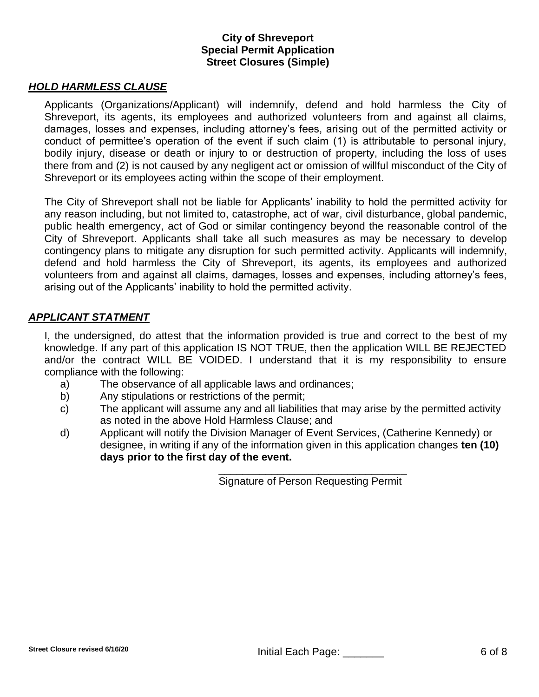## *HOLD HARMLESS CLAUSE*

Applicants (Organizations/Applicant) will indemnify, defend and hold harmless the City of Shreveport, its agents, its employees and authorized volunteers from and against all claims, damages, losses and expenses, including attorney's fees, arising out of the permitted activity or conduct of permittee's operation of the event if such claim (1) is attributable to personal injury, bodily injury, disease or death or injury to or destruction of property, including the loss of uses there from and (2) is not caused by any negligent act or omission of willful misconduct of the City of Shreveport or its employees acting within the scope of their employment.

The City of Shreveport shall not be liable for Applicants' inability to hold the permitted activity for any reason including, but not limited to, catastrophe, act of war, civil disturbance, global pandemic, public health emergency, act of God or similar contingency beyond the reasonable control of the City of Shreveport. Applicants shall take all such measures as may be necessary to develop contingency plans to mitigate any disruption for such permitted activity. Applicants will indemnify, defend and hold harmless the City of Shreveport, its agents, its employees and authorized volunteers from and against all claims, damages, losses and expenses, including attorney's fees, arising out of the Applicants' inability to hold the permitted activity.

#### *APPLICANT STATMENT*

I, the undersigned, do attest that the information provided is true and correct to the best of my knowledge. If any part of this application IS NOT TRUE, then the application WILL BE REJECTED and/or the contract WILL BE VOIDED. I understand that it is my responsibility to ensure compliance with the following:

- a) The observance of all applicable laws and ordinances;
- b) Any stipulations or restrictions of the permit;
- c) The applicant will assume any and all liabilities that may arise by the permitted activity as noted in the above Hold Harmless Clause; and
- d) Applicant will notify the Division Manager of Event Services, (Catherine Kennedy) or designee, in writing if any of the information given in this application changes **ten (10) days prior to the first day of the event.**

\_\_\_\_\_\_\_\_\_\_\_\_\_\_\_\_\_\_\_\_\_\_\_\_\_\_\_\_\_\_\_\_ Signature of Person Requesting Permit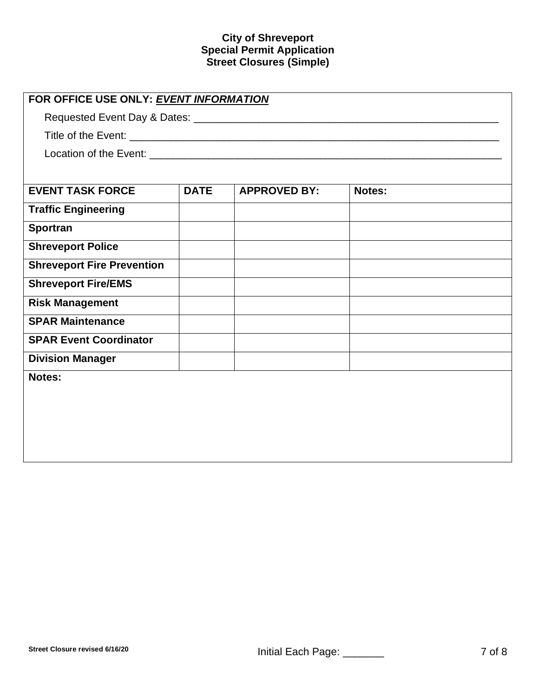| FOR OFFICE USE ONLY: EVENT INFORMATION |             |                     |        |  |
|----------------------------------------|-------------|---------------------|--------|--|
|                                        |             |                     |        |  |
|                                        |             |                     |        |  |
|                                        |             |                     |        |  |
|                                        |             |                     |        |  |
| <b>EVENT TASK FORCE</b>                | <b>DATE</b> | <b>APPROVED BY:</b> | Notes: |  |
| <b>Traffic Engineering</b>             |             |                     |        |  |
| <b>Sportran</b>                        |             |                     |        |  |
| <b>Shreveport Police</b>               |             |                     |        |  |
| <b>Shreveport Fire Prevention</b>      |             |                     |        |  |
| <b>Shreveport Fire/EMS</b>             |             |                     |        |  |
| <b>Risk Management</b>                 |             |                     |        |  |
| <b>SPAR Maintenance</b>                |             |                     |        |  |
| <b>SPAR Event Coordinator</b>          |             |                     |        |  |
| <b>Division Manager</b>                |             |                     |        |  |
| Notes:                                 |             |                     |        |  |
|                                        |             |                     |        |  |
|                                        |             |                     |        |  |
|                                        |             |                     |        |  |
|                                        |             |                     |        |  |